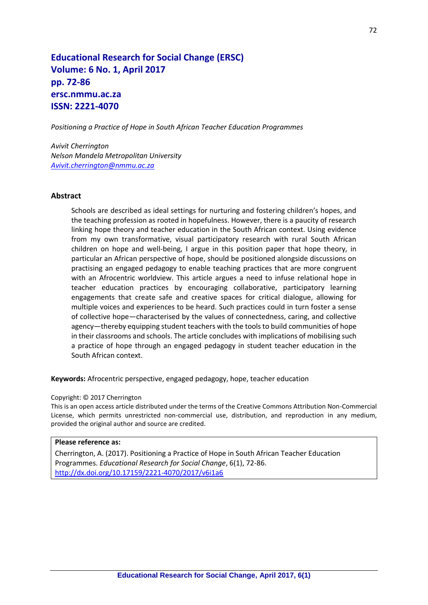# **Educational Research for Social Change (ERSC) Volume: 6 No. 1, April 2017 pp. 72-86 ersc.nmmu.ac.za ISSN: 2221-4070**

*Positioning a Practice of Hope in South African Teacher Education Programmes*

*Avivit Cherrington Nelson Mandela Metropolitan University [Avivit.cherrington@nmmu.ac.za](mailto:Avivit.cherrington@nmmu.ac.za)*

#### **Abstract**

Schools are described as ideal settings for nurturing and fostering children's hopes, and the teaching profession as rooted in hopefulness. However, there is a paucity of research linking hope theory and teacher education in the South African context. Using evidence from my own transformative, visual participatory research with rural South African children on hope and well-being, I argue in this position paper that hope theory, in particular an African perspective of hope, should be positioned alongside discussions on practising an engaged pedagogy to enable teaching practices that are more congruent with an Afrocentric worldview. This article argues a need to infuse relational hope in teacher education practices by encouraging collaborative, participatory learning engagements that create safe and creative spaces for critical dialogue, allowing for multiple voices and experiences to be heard. Such practices could in turn foster a sense of collective hope—characterised by the values of connectedness, caring, and collective agency—thereby equipping student teachers with the tools to build communities of hope in their classrooms and schools. The article concludes with implications of mobilising such a practice of hope through an engaged pedagogy in student teacher education in the South African context.

**Keywords:** Afrocentric perspective, engaged pedagogy, hope, teacher education

#### Copyright: © 2017 Cherrington

This is an open access article distributed under the terms of the Creative Commons Attribution Non-Commercial License, which permits unrestricted non-commercial use, distribution, and reproduction in any medium, provided the original author and source are credited.

#### **Please reference as:**

Cherrington, A. (2017). Positioning a Practice of Hope in South African Teacher Education Programmes. *Educational Research for Social Change*, 6(1), 72-86. <http://dx.doi.org/10.17159/2221-4070/2017/v6i1a6>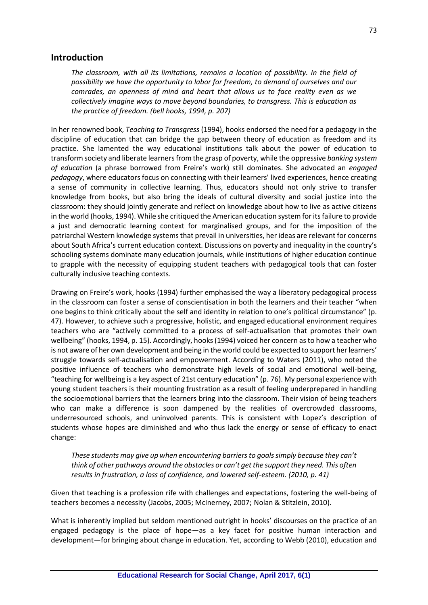### **Introduction**

*The classroom, with all its limitations, remains a location of possibility. In the field of possibility we have the opportunity to labor for freedom, to demand of ourselves and our comrades, an openness of mind and heart that allows us to face reality even as we collectively imagine ways to move beyond boundaries, to transgress. This is education as the practice of freedom. (bell hooks, 1994, p. 207)* 

In her renowned book, *Teaching to Transgress* (1994), hooks endorsed the need for a pedagogy in the discipline of education that can bridge the gap between theory of education as freedom and its practice. She lamented the way educational institutions talk about the power of education to transform society and liberate learners from the grasp of poverty, while the oppressive *banking system of education* (a phrase borrowed from Freire's work) still dominates. She advocated an *engaged pedagogy*, where educators focus on connecting with their learners' lived experiences, hence creating a sense of community in collective learning. Thus, educators should not only strive to transfer knowledge from books, but also bring the ideals of cultural diversity and social justice into the classroom: they should jointly generate and reflect on knowledge about how to live as active citizens in the world (hooks, 1994). While she critiqued the American education system for its failure to provide a just and democratic learning context for marginalised groups, and for the imposition of the patriarchal Western knowledge systems that prevail in universities, her ideas are relevant for concerns about South Africa's current education context. Discussions on poverty and inequality in the country's schooling systems dominate many education journals, while institutions of higher education continue to grapple with the necessity of equipping student teachers with pedagogical tools that can foster culturally inclusive teaching contexts.

Drawing on Freire's work, hooks (1994) further emphasised the way a liberatory pedagogical process in the classroom can foster a sense of conscientisation in both the learners and their teacher "when one begins to think critically about the self and identity in relation to one's political circumstance" (p. 47). However, to achieve such a progressive, holistic, and engaged educational environment requires teachers who are "actively committed to a process of self-actualisation that promotes their own wellbeing" (hooks, 1994, p. 15). Accordingly, hooks (1994) voiced her concern as to how a teacher who is not aware of her own development and being in the world could be expected to support her learners' struggle towards self-actualisation and empowerment. According to Waters (2011), who noted the positive influence of teachers who demonstrate high levels of social and emotional well-being, "teaching for wellbeing is a key aspect of 21st century education" (p. 76). My personal experience with young student teachers is their mounting frustration as a result of feeling underprepared in handling the socioemotional barriers that the learners bring into the classroom. Their vision of being teachers who can make a difference is soon dampened by the realities of overcrowded classrooms, underresourced schools, and uninvolved parents. This is consistent with Lopez's description of students whose hopes are diminished and who thus lack the energy or sense of efficacy to enact change:

*These students may give up when encountering barriers to goals simply because they can't think of other pathways around the obstacles or can't get the support they need. This often results in frustration, a loss of confidence, and lowered self-esteem. (2010, p. 41)*

Given that teaching is a profession rife with challenges and expectations, fostering the well-being of teachers becomes a necessity (Jacobs, 2005; McInerney, 2007; Nolan & Stitzlein, 2010).

What is inherently implied but seldom mentioned outright in hooks' discourses on the practice of an engaged pedagogy is the place of hope—as a key facet for positive human interaction and development—for bringing about change in education. Yet, according to Webb (2010), education and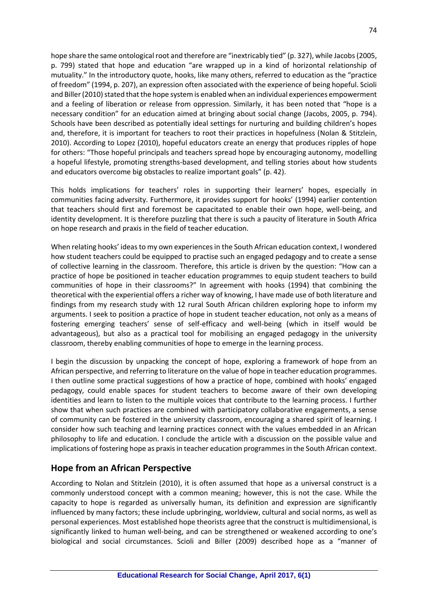hope share the same ontological root and therefore are "inextricably tied" (p. 327), while Jacobs (2005, p. 799) stated that hope and education "are wrapped up in a kind of horizontal relationship of mutuality." In the introductory quote, hooks, like many others, referred to education as the "practice of freedom" (1994, p. 207), an expression often associated with the experience of being hopeful. Scioli and Biller (2010) stated that the hope system is enabled when an individual experiences empowerment and a feeling of liberation or release from oppression. Similarly, it has been noted that "hope is a necessary condition" for an education aimed at bringing about social change (Jacobs, 2005, p. 794). Schools have been described as potentially ideal settings for nurturing and building children's hopes and, therefore, it is important for teachers to root their practices in hopefulness (Nolan & Stitzlein, 2010). According to Lopez (2010), hopeful educators create an energy that produces ripples of hope for others: "Those hopeful principals and teachers spread hope by encouraging autonomy, modelling a hopeful lifestyle, promoting strengths-based development, and telling stories about how students and educators overcome big obstacles to realize important goals" (p. 42).

This holds implications for teachers' roles in supporting their learners' hopes, especially in communities facing adversity. Furthermore, it provides support for hooks' (1994) earlier contention that teachers should first and foremost be capacitated to enable their own hope, well-being, and identity development. It is therefore puzzling that there is such a paucity of literature in South Africa on hope research and praxis in the field of teacher education.

When relating hooks' ideas to my own experiences in the South African education context, I wondered how student teachers could be equipped to practise such an engaged pedagogy and to create a sense of collective learning in the classroom. Therefore, this article is driven by the question: "How can a practice of hope be positioned in teacher education programmes to equip student teachers to build communities of hope in their classrooms?" In agreement with hooks (1994) that combining the theoretical with the experiential offers a richer way of knowing, I have made use of both literature and findings from my research study with 12 rural South African children exploring hope to inform my arguments. I seek to position a practice of hope in student teacher education, not only as a means of fostering emerging teachers' sense of self-efficacy and well-being (which in itself would be advantageous), but also as a practical tool for mobilising an engaged pedagogy in the university classroom, thereby enabling communities of hope to emerge in the learning process.

I begin the discussion by unpacking the concept of hope, exploring a framework of hope from an African perspective, and referring to literature on the value of hope in teacher education programmes. I then outline some practical suggestions of how a practice of hope, combined with hooks' engaged pedagogy, could enable spaces for student teachers to become aware of their own developing identities and learn to listen to the multiple voices that contribute to the learning process. I further show that when such practices are combined with participatory collaborative engagements, a sense of community can be fostered in the university classroom, encouraging a shared spirit of learning. I consider how such teaching and learning practices connect with the values embedded in an African philosophy to life and education. I conclude the article with a discussion on the possible value and implications of fostering hope as praxis in teacher education programmes in the South African context.

# **Hope from an African Perspective**

According to Nolan and Stitzlein (2010), it is often assumed that hope as a universal construct is a commonly understood concept with a common meaning; however, this is not the case. While the capacity to hope is regarded as universally human, its definition and expression are significantly influenced by many factors; these include upbringing, worldview, cultural and social norms, as well as personal experiences. Most established hope theorists agree that the construct is multidimensional, is significantly linked to human well-being, and can be strengthened or weakened according to one's biological and social circumstances. Scioli and Biller (2009) described hope as a "manner of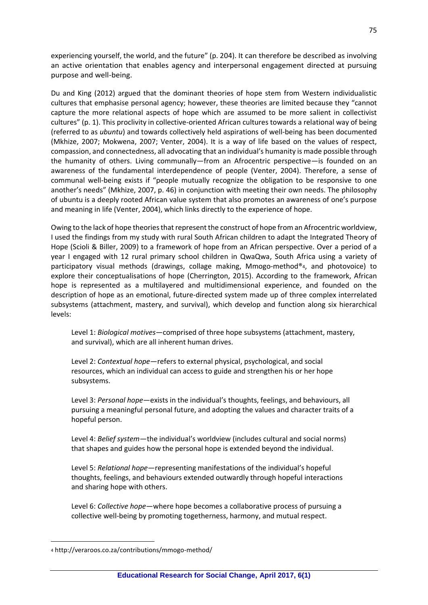experiencing yourself, the world, and the future" (p. 204). It can therefore be described as involving an active orientation that enables agency and interpersonal engagement directed at pursuing purpose and well-being.

Du and King (2012) argued that the dominant theories of hope stem from Western individualistic cultures that emphasise personal agency; however, these theories are limited because they "cannot capture the more relational aspects of hope which are assumed to be more salient in collectivist cultures" (p. 1). This proclivity in collective-oriented African cultures towards a relational way of being (referred to as *ubuntu*) and towards collectively held aspirations of well-being has been documented (Mkhize, 2007; Mokwena, 2007; Venter, 2004). It is a way of life based on the values of respect, compassion, and connectedness, all advocating that an individual's humanity is made possible through the humanity of others. Living communally—from an Afrocentric perspective—is founded on an awareness of the fundamental interdependence of people (Venter, 2004). Therefore, a sense of communal well-being exists if "people mutually recognize the obligation to be responsive to one another's needs" (Mkhize, 2007, p. 46) in conjunction with meeting their own needs. The philosophy of ubuntu is a deeply rooted African value system that also promotes an awareness of one's purpose and meaning in life (Venter, 2004), which links directly to the experience of hope.

Owing to the lack of hope theories that represent the construct of hope from an Afrocentric worldview, I used the findings from my study with rural South African children to adapt the Integrated Theory of Hope (Scioli & Biller, 2009) to a framework of hope from an African perspective. Over a period of a year I engaged with 12 rural primary school children in QwaQwa, South Africa using a variety of participatory visual methods (drawings, collage making, Mmogo-method®4, and photovoice) to explore their conceptualisations of hope (Cherrington, 2015). According to the framework, African hope is represented as a multilayered and multidimensional experience, and founded on the description of hope as an emotional, future-directed system made up of three complex interrelated subsystems (attachment, mastery, and survival), which develop and function along six hierarchical levels:

Level 1: *Biological motives*—comprised of three hope subsystems (attachment, mastery, and survival), which are all inherent human drives.

Level 2: *Contextual hope*—refers to external physical, psychological, and social resources, which an individual can access to guide and strengthen his or her hope subsystems.

Level 3: *Personal hope*—exists in the individual's thoughts, feelings, and behaviours, all pursuing a meaningful personal future, and adopting the values and character traits of a hopeful person.

Level 4: *Belief system*—the individual's worldview (includes cultural and social norms) that shapes and guides how the personal hope is extended beyond the individual.

Level 5: *Relational hope*—representing manifestations of the individual's hopeful thoughts, feelings, and behaviours extended outwardly through hopeful interactions and sharing hope with others.

Level 6: *Collective hope*—where hope becomes a collaborative process of pursuing a collective well-being by promoting togetherness, harmony, and mutual respect.

 $\overline{a}$ 

<sup>4</sup> http://veraroos.co.za/contributions/mmogo-method/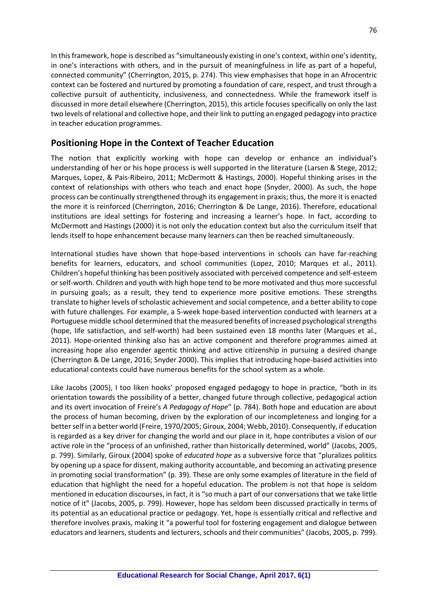In this framework, hope is described as "simultaneously existing in one's context, within one's identity, in one's interactions with others, and in the pursuit of meaningfulness in life as part of a hopeful, connected community" (Cherrington, 2015, p. 274). This view emphasises that hope in an Afrocentric context can be fostered and nurtured by promoting a foundation of care, respect, and trust through a collective pursuit of authenticity, inclusiveness, and connectedness. While the framework itself is discussed in more detail elsewhere (Cherrington, 2015), this article focuses specifically on only the last two levels of relational and collective hope, and their link to putting an engaged pedagogy into practice in teacher education programmes.

# **Positioning Hope in the Context of Teacher Education**

The notion that explicitly working with hope can develop or enhance an individual's understanding of her or his hope process is well supported in the literature (Larsen & Stege, 2012; Marques, Lopez, & Pais-Ribeiro, 2011; McDermott & Hastings, 2000). Hopeful thinking arises in the context of relationships with others who teach and enact hope (Snyder, 2000). As such, the hope process can be continually strengthened through its engagement in praxis; thus, the more it is enacted the more it is reinforced (Cherrington, 2016; Cherrington & De Lange, 2016). Therefore, educational institutions are ideal settings for fostering and increasing a learner's hope. In fact, according to McDermott and Hastings (2000) it is not only the education context but also the curriculum itself that lends itself to hope enhancement because many learners can then be reached simultaneously.

International studies have shown that hope-based interventions in schools can have far-reaching benefits for learners, educators, and school communities (Lopez, 2010; Marques et al., 2011). Children's hopeful thinking has been positively associated with perceived competence and self-esteem or self-worth. Children and youth with high hope tend to be more motivated and thus more successful in pursuing goals; as a result, they tend to experience more positive emotions. These strengths translate to higher levels of scholastic achievement and social competence, and a better ability to cope with future challenges. For example, a 5-week hope-based intervention conducted with learners at a Portuguese middle school determined that the measured benefits of increased psychological strengths (hope, life satisfaction, and self-worth) had been sustained even 18 months later (Marques et al., 2011). Hope-oriented thinking also has an active component and therefore programmes aimed at increasing hope also engender agentic thinking and active citizenship in pursuing a desired change (Cherrington & De Lange, 2016; Snyder 2000). This implies that introducing hope-based activities into educational contexts could have numerous benefits for the school system as a whole.

Like Jacobs (2005), I too liken hooks' proposed engaged pedagogy to hope in practice, "both in its orientation towards the possibility of a better, changed future through collective, pedagogical action and its overt invocation of Freire's *A Pedagogy of Hope*" (p. 784). Both hope and education are about the process of human becoming, driven by the exploration of our incompleteness and longing for a better self in a better world (Freire, 1970/2005; Giroux, 2004; Webb, 2010). Consequently, if education is regarded as a key driver for changing the world and our place in it, hope contributes a vision of our active role in the "process of an unfinished, rather than historically determined, world" (Jacobs, 2005, p. 799). Similarly, Giroux (2004) spoke of *educated hope* as a subversive force that "pluralizes politics by opening up a space for dissent, making authority accountable, and becoming an activating presence in promoting social transformation" (p. 39). These are only some examples of literature in the field of education that highlight the need for a hopeful education. The problem is not that hope is seldom mentioned in education discourses, in fact, it is "so much a part of our conversations that we take little notice of it" (Jacobs, 2005, p. 799). However, hope has seldom been discussed practically in terms of its potential as an educational practice or pedagogy. Yet, hope is essentially critical and reflective and therefore involves praxis, making it "a powerful tool for fostering engagement and dialogue between educators and learners, students and lecturers, schools and their communities" (Jacobs, 2005, p. 799).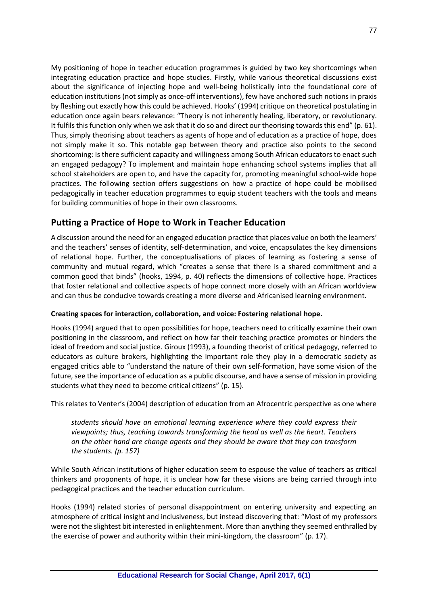My positioning of hope in teacher education programmes is guided by two key shortcomings when integrating education practice and hope studies. Firstly, while various theoretical discussions exist about the significance of injecting hope and well-being holistically into the foundational core of education institutions (not simply as once-off interventions), few have anchored such notions in praxis by fleshing out exactly how this could be achieved. Hooks' (1994) critique on theoretical postulating in education once again bears relevance: "Theory is not inherently healing, liberatory, or revolutionary. It fulfils this function only when we ask that it do so and direct our theorising towards this end" (p. 61). Thus, simply theorising about teachers as agents of hope and of education as a practice of hope, does not simply make it so. This notable gap between theory and practice also points to the second shortcoming: Is there sufficient capacity and willingness among South African educators to enact such an engaged pedagogy? To implement and maintain hope enhancing school systems implies that all school stakeholders are open to, and have the capacity for, promoting meaningful school-wide hope practices. The following section offers suggestions on how a practice of hope could be mobilised pedagogically in teacher education programmes to equip student teachers with the tools and means for building communities of hope in their own classrooms.

# **Putting a Practice of Hope to Work in Teacher Education**

A discussion around the need for an engaged education practice that places value on both the learners' and the teachers' senses of identity, self-determination, and voice, encapsulates the key dimensions of relational hope. Further, the conceptualisations of places of learning as fostering a sense of community and mutual regard, which "creates a sense that there is a shared commitment and a common good that binds" (hooks, 1994, p. 40) reflects the dimensions of collective hope. Practices that foster relational and collective aspects of hope connect more closely with an African worldview and can thus be conducive towards creating a more diverse and Africanised learning environment.

### **Creating spaces for interaction, collaboration, and voice: Fostering relational hope.**

Hooks (1994) argued that to open possibilities for hope, teachers need to critically examine their own positioning in the classroom, and reflect on how far their teaching practice promotes or hinders the ideal of freedom and social justice. Giroux (1993), a founding theorist of critical pedagogy, referred to educators as culture brokers, highlighting the important role they play in a democratic society as engaged critics able to "understand the nature of their own self-formation, have some vision of the future, see the importance of education as a public discourse, and have a sense of mission in providing students what they need to become critical citizens" (p. 15).

This relates to Venter's (2004) description of education from an Afrocentric perspective as one where

*students should have an emotional learning experience where they could express their viewpoints; thus, teaching towards transforming the head as well as the heart. Teachers on the other hand are change agents and they should be aware that they can transform the students. (p. 157)*

While South African institutions of higher education seem to espouse the value of teachers as critical thinkers and proponents of hope, it is unclear how far these visions are being carried through into pedagogical practices and the teacher education curriculum.

Hooks (1994) related stories of personal disappointment on entering university and expecting an atmosphere of critical insight and inclusiveness, but instead discovering that: "Most of my professors were not the slightest bit interested in enlightenment. More than anything they seemed enthralled by the exercise of power and authority within their mini-kingdom, the classroom" (p. 17).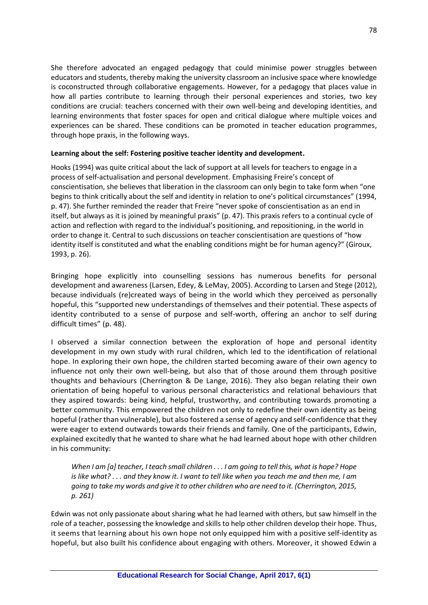She therefore advocated an engaged pedagogy that could minimise power struggles between educators and students, thereby making the university classroom an inclusive space where knowledge is coconstructed through collaborative engagements. However, for a pedagogy that places value in how all parties contribute to learning through their personal experiences and stories, two key conditions are crucial: teachers concerned with their own well-being and developing identities, and learning environments that foster spaces for open and critical dialogue where multiple voices and experiences can be shared. These conditions can be promoted in teacher education programmes, through hope praxis, in the following ways.

### **Learning about the self: Fostering positive teacher identity and development.**

Hooks (1994) was quite critical about the lack of support at all levels for teachers to engage in a process of self-actualisation and personal development. Emphasising Freire's concept of conscientisation, she believes that liberation in the classroom can only begin to take form when "one begins to think critically about the self and identity in relation to one's political circumstances" (1994, p. 47). She further reminded the reader that Freire "never spoke of conscientisation as an end in itself, but always as it is joined by meaningful praxis" (p. 47). This praxis refers to a continual cycle of action and reflection with regard to the individual's positioning, and repositioning, in the world in order to change it. Central to such discussions on teacher conscientisation are questions of "how identity itself is constituted and what the enabling conditions might be for human agency?" (Giroux, 1993, p. 26).

Bringing hope explicitly into counselling sessions has numerous benefits for personal development and awareness (Larsen, Edey, & LeMay, 2005). According to Larsen and Stege (2012), because individuals (re)created ways of being in the world which they perceived as personally hopeful, this "supported new understandings of themselves and their potential. These aspects of identity contributed to a sense of purpose and self-worth, offering an anchor to self during difficult times" (p. 48).

I observed a similar connection between the exploration of hope and personal identity development in my own study with rural children, which led to the identification of relational hope. In exploring their own hope, the children started becoming aware of their own agency to influence not only their own well-being, but also that of those around them through positive thoughts and behaviours (Cherrington & De Lange, 2016). They also began relating their own orientation of being hopeful to various personal characteristics and relational behaviours that they aspired towards: being kind, helpful, trustworthy, and contributing towards promoting a better community. This empowered the children not only to redefine their own identity as being hopeful (rather than vulnerable), but also fostered a sense of agency and self-confidence that they were eager to extend outwards towards their friends and family. One of the participants, Edwin, explained excitedly that he wanted to share what he had learned about hope with other children in his community:

*When I am [a] teacher, I teach small children . . . I am going to tell this, what is hope? Hope is like what? . . . and they know it. I want to tell like when you teach me and then me, I am going to take my words and give it to other children who are need to it. (Cherrington, 2015, p. 261)* 

Edwin was not only passionate about sharing what he had learned with others, but saw himself in the role of a teacher, possessing the knowledge and skills to help other children develop their hope. Thus, it seems that learning about his own hope not only equipped him with a positive self-identity as hopeful, but also built his confidence about engaging with others. Moreover, it showed Edwin a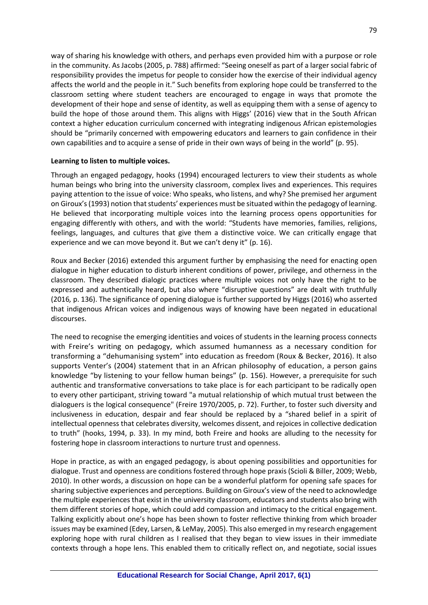way of sharing his knowledge with others, and perhaps even provided him with a purpose or role in the community. As Jacobs (2005, p. 788) affirmed: "Seeing oneself as part of a larger social fabric of responsibility provides the impetus for people to consider how the exercise of their individual agency affects the world and the people in it." Such benefits from exploring hope could be transferred to the classroom setting where student teachers are encouraged to engage in ways that promote the development of their hope and sense of identity, as well as equipping them with a sense of agency to build the hope of those around them. This aligns with Higgs' (2016) view that in the South African context a higher education curriculum concerned with integrating indigenous African epistemologies should be "primarily concerned with empowering educators and learners to gain confidence in their own capabilities and to acquire a sense of pride in their own ways of being in the world" (p. 95).

#### **Learning to listen to multiple voices.**

Through an engaged pedagogy, hooks (1994) encouraged lecturers to view their students as whole human beings who bring into the university classroom, complex lives and experiences. This requires paying attention to the issue of voice: Who speaks, who listens, and why? She premised her argument on Giroux's (1993) notion that students' experiences must be situated within the pedagogy of learning. He believed that incorporating multiple voices into the learning process opens opportunities for engaging differently with others, and with the world: "Students have memories, families, religions, feelings, languages, and cultures that give them a distinctive voice. We can critically engage that experience and we can move beyond it. But we can't deny it" (p. 16).

Roux and Becker (2016) extended this argument further by emphasising the need for enacting open dialogue in higher education to disturb inherent conditions of power, privilege, and otherness in the classroom. They described dialogic practices where multiple voices not only have the right to be expressed and authentically heard, but also where "disruptive questions" are dealt with truthfully (2016*,* p. 136). The significance of opening dialogue is further supported by Higgs (2016) who asserted that indigenous African voices and indigenous ways of knowing have been negated in educational discourses.

The need to recognise the emerging identities and voices of students in the learning process connects with Freire's writing on pedagogy, which assumed humanness as a necessary condition for transforming a "dehumanising system" into education as freedom (Roux & Becker, 2016). It also supports Venter's (2004) statement that in an African philosophy of education, a person gains knowledge "by listening to your fellow human beings" (p. 156). However, a prerequisite for such authentic and transformative conversations to take place is for each participant to be radically open to every other participant, striving toward "a mutual relationship of which mutual trust between the dialoguers is the logical consequence" (Freire 1970/2005, p. 72). Further, to foster such diversity and inclusiveness in education, despair and fear should be replaced by a "shared belief in a spirit of intellectual openness that celebrates diversity, welcomes dissent, and rejoices in collective dedication to truth" (hooks, 1994, p. 33). In my mind, both Freire and hooks are alluding to the necessity for fostering hope in classroom interactions to nurture trust and openness.

Hope in practice, as with an engaged pedagogy, is about opening possibilities and opportunities for dialogue. Trust and openness are conditions fostered through hope praxis (Scioli & Biller, 2009; Webb, 2010). In other words, a discussion on hope can be a wonderful platform for opening safe spaces for sharing subjective experiences and perceptions. Building on Giroux's view of the need to acknowledge the multiple experiences that exist in the university classroom, educators and students also bring with them different stories of hope, which could add compassion and intimacy to the critical engagement. Talking explicitly about one's hope has been shown to foster reflective thinking from which broader issues may be examined (Edey, Larsen, & LeMay, 2005). This also emerged in my research engagement exploring hope with rural children as I realised that they began to view issues in their immediate contexts through a hope lens. This enabled them to critically reflect on, and negotiate, social issues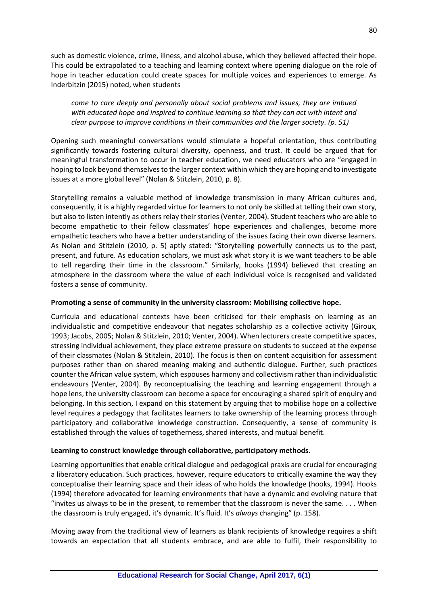such as domestic violence, crime, illness, and alcohol abuse, which they believed affected their hope. This could be extrapolated to a teaching and learning context where opening dialogue on the role of hope in teacher education could create spaces for multiple voices and experiences to emerge. As Inderbitzin (2015) noted, when students

*come to care deeply and personally about social problems and issues, they are imbued with educated hope and inspired to continue learning so that they can act with intent and clear purpose to improve conditions in their communities and the larger society. (p. 51)* 

Opening such meaningful conversations would stimulate a hopeful orientation, thus contributing significantly towards fostering cultural diversity, openness, and trust. It could be argued that for meaningful transformation to occur in teacher education, we need educators who are "engaged in hoping to look beyond themselves to the larger context within which they are hoping and to investigate issues at a more global level" (Nolan & Stitzlein, 2010, p. 8).

Storytelling remains a valuable method of knowledge transmission in many African cultures and, consequently, it is a highly regarded virtue for learners to not only be skilled at telling their own story, but also to listen intently as others relay their stories (Venter, 2004). Student teachers who are able to become empathetic to their fellow classmates' hope experiences and challenges, become more empathetic teachers who have a better understanding of the issues facing their own diverse learners. As Nolan and Stitzlein (2010, p. 5) aptly stated: "Storytelling powerfully connects us to the past, present, and future. As education scholars, we must ask what story it is we want teachers to be able to tell regarding their time in the classroom." Similarly, hooks (1994) believed that creating an atmosphere in the classroom where the value of each individual voice is recognised and validated fosters a sense of community.

#### **Promoting a sense of community in the university classroom: Mobilising collective hope.**

Curricula and educational contexts have been criticised for their emphasis on learning as an individualistic and competitive endeavour that negates scholarship as a collective activity (Giroux, 1993; Jacobs, 2005; Nolan & Stitzlein, 2010; Venter, 2004). When lecturers create competitive spaces, stressing individual achievement, they place extreme pressure on students to succeed at the expense of their classmates (Nolan & Stitzlein, 2010). The focus is then on content acquisition for assessment purposes rather than on shared meaning making and authentic dialogue. Further, such practices counter the African value system, which espouses harmony and collectivism rather than individualistic endeavours (Venter, 2004). By reconceptualising the teaching and learning engagement through a hope lens, the university classroom can become a space for encouraging a shared spirit of enquiry and belonging. In this section, I expand on this statement by arguing that to mobilise hope on a collective level requires a pedagogy that facilitates learners to take ownership of the learning process through participatory and collaborative knowledge construction. Consequently, a sense of community is established through the values of togetherness, shared interests, and mutual benefit.

#### **Learning to construct knowledge through collaborative, participatory methods.**

Learning opportunities that enable critical dialogue and pedagogical praxis are crucial for encouraging a liberatory education. Such practices, however, require educators to critically examine the way they conceptualise their learning space and their ideas of who holds the knowledge (hooks, 1994). Hooks (1994) therefore advocated for learning environments that have a dynamic and evolving nature that "invites us always to be in the present, to remember that the classroom is never the same. . . . When the classroom is truly engaged, it's dynamic. It's fluid. It's *always* changing" (p. 158).

Moving away from the traditional view of learners as blank recipients of knowledge requires a shift towards an expectation that all students embrace, and are able to fulfil, their responsibility to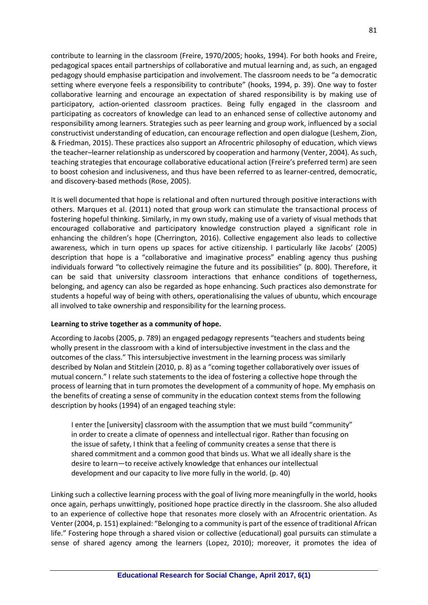contribute to learning in the classroom (Freire, 1970/2005; hooks, 1994). For both hooks and Freire, pedagogical spaces entail partnerships of collaborative and mutual learning and, as such, an engaged pedagogy should emphasise participation and involvement. The classroom needs to be "a democratic setting where everyone feels a responsibility to contribute" (hooks, 1994, p. 39). One way to foster collaborative learning and encourage an expectation of shared responsibility is by making use of participatory, action-oriented classroom practices. Being fully engaged in the classroom and participating as cocreators of knowledge can lead to an enhanced sense of collective autonomy and responsibility among learners. Strategies such as peer learning and group work, influenced by a social constructivist understanding of education, can encourage reflection and open dialogue (Leshem, Zion, & Friedman, 2015). These practices also support an Afrocentric philosophy of education, which views the teacher–learner relationship as underscored by cooperation and harmony (Venter, 2004). As such, teaching strategies that encourage collaborative educational action (Freire's preferred term) are seen to boost cohesion and inclusiveness, and thus have been referred to as learner-centred, democratic, and discovery-based methods (Rose, 2005).

It is well documented that hope is relational and often nurtured through positive interactions with others. Marques et al. (2011) noted that group work can stimulate the transactional process of fostering hopeful thinking. Similarly, in my own study, making use of a variety of visual methods that encouraged collaborative and participatory knowledge construction played a significant role in enhancing the children's hope (Cherrington, 2016). Collective engagement also leads to collective awareness, which in turn opens up spaces for active citizenship. I particularly like Jacobs' (2005) description that hope is a "collaborative and imaginative process" enabling agency thus pushing individuals forward "to collectively reimagine the future and its possibilities" (p. 800). Therefore, it can be said that university classroom interactions that enhance conditions of togetherness, belonging, and agency can also be regarded as hope enhancing. Such practices also demonstrate for students a hopeful way of being with others, operationalising the values of ubuntu, which encourage all involved to take ownership and responsibility for the learning process.

#### **Learning to strive together as a community of hope.**

According to Jacobs (2005, p. 789) an engaged pedagogy represents "teachers and students being wholly present in the classroom with a kind of intersubjective investment in the class and the outcomes of the class." This intersubjective investment in the learning process was similarly described by Nolan and Stitzlein (2010, p. 8) as a "coming together collaboratively over issues of mutual concern." I relate such statements to the idea of fostering a collective hope through the process of learning that in turn promotes the development of a community of hope. My emphasis on the benefits of creating a sense of community in the education context stems from the following description by hooks (1994) of an engaged teaching style:

I enter the [university] classroom with the assumption that we must build "community" in order to create a climate of openness and intellectual rigor. Rather than focusing on the issue of safety, I think that a feeling of community creates a sense that there is shared commitment and a common good that binds us. What we all ideally share is the desire to learn—to receive actively knowledge that enhances our intellectual development and our capacity to live more fully in the world. (p. 40)

Linking such a collective learning process with the goal of living more meaningfully in the world, hooks once again, perhaps unwittingly, positioned hope practice directly in the classroom. She also alluded to an experience of collective hope that resonates more closely with an Afrocentric orientation. As Venter (2004, p. 151) explained: "Belonging to a community is part of the essence of traditional African life." Fostering hope through a shared vision or collective (educational) goal pursuits can stimulate a sense of shared agency among the learners (Lopez, 2010); moreover, it promotes the idea of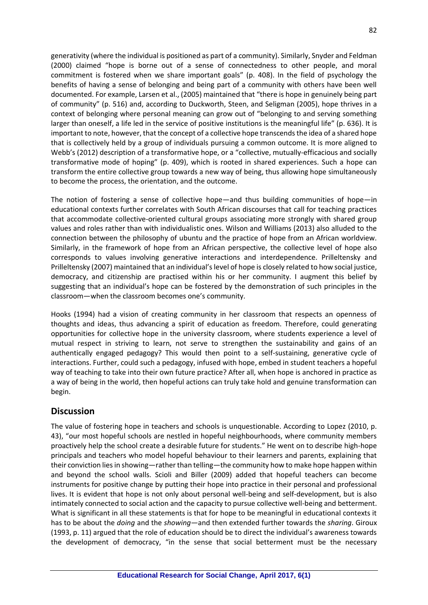generativity (where the individual is positioned as part of a community). Similarly, Snyder and Feldman (2000) claimed "hope is borne out of a sense of connectedness to other people, and moral commitment is fostered when we share important goals" (p. 408). In the field of psychology the benefits of having a sense of belonging and being part of a community with others have been well documented. For example, Larsen et al., (2005) maintained that "there is hope in genuinely being part of community" (p. 516) and, according to Duckworth, Steen, and Seligman (2005), hope thrives in a context of belonging where personal meaning can grow out of "belonging to and serving something larger than oneself, a life led in the service of positive institutions is the meaningful life" (p. 636). It is important to note, however, that the concept of a collective hope transcends the idea of a shared hope that is collectively held by a group of individuals pursuing a common outcome. It is more aligned to Webb's (2012) description of a transformative hope, or a "collective, mutually-efficacious and socially transformative mode of hoping" (p. 409), which is rooted in shared experiences. Such a hope can transform the entire collective group towards a new way of being, thus allowing hope simultaneously to become the process, the orientation, and the outcome.

The notion of fostering a sense of collective hope—and thus building communities of hope—in educational contexts further correlates with South African discourses that call for teaching practices that accommodate collective-oriented cultural groups associating more strongly with shared group values and roles rather than with individualistic ones. Wilson and Williams (2013) also alluded to the connection between the philosophy of ubuntu and the practice of hope from an African worldview. Similarly, in the framework of hope from an African perspective, the collective level of hope also corresponds to values involving generative interactions and interdependence. Prilleltensky and Prilleltensky (2007) maintained that an individual's level of hope is closely related to how social justice, democracy, and citizenship are practised within his or her community. I augment this belief by suggesting that an individual's hope can be fostered by the demonstration of such principles in the classroom—when the classroom becomes one's community.

Hooks (1994) had a vision of creating community in her classroom that respects an openness of thoughts and ideas, thus advancing a spirit of education as freedom. Therefore, could generating opportunities for collective hope in the university classroom, where students experience a level of mutual respect in striving to learn, not serve to strengthen the sustainability and gains of an authentically engaged pedagogy? This would then point to a self-sustaining, generative cycle of interactions. Further, could such a pedagogy, infused with hope, embed in student teachers a hopeful way of teaching to take into their own future practice? After all, when hope is anchored in practice as a way of being in the world, then hopeful actions can truly take hold and genuine transformation can begin.

# **Discussion**

The value of fostering hope in teachers and schools is unquestionable. According to Lopez (2010, p. 43), "our most hopeful schools are nestled in hopeful neighbourhoods, where community members proactively help the school create a desirable future for students." He went on to describe high-hope principals and teachers who model hopeful behaviour to their learners and parents, explaining that their conviction lies in showing—rather than telling—the community how to make hope happen within and beyond the school walls. Scioli and Biller (2009) added that hopeful teachers can become instruments for positive change by putting their hope into practice in their personal and professional lives. It is evident that hope is not only about personal well-being and self-development, but is also intimately connected to social action and the capacity to pursue collective well-being and betterment. What is significant in all these statements is that for hope to be meaningful in educational contexts it has to be about the *doing* and the *showing—*and then extended further towards the *sharing*. Giroux (1993, p. 11) argued that the role of education should be to direct the individual's awareness towards the development of democracy, "in the sense that social betterment must be the necessary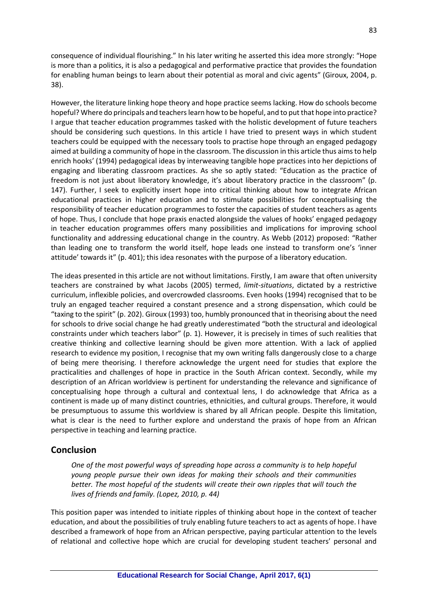consequence of individual flourishing." In his later writing he asserted this idea more strongly: "Hope is more than a politics, it is also a pedagogical and performative practice that provides the foundation for enabling human beings to learn about their potential as moral and civic agents" (Giroux, 2004, p. 38).

However, the literature linking hope theory and hope practice seems lacking. How do schools become hopeful? Where do principals and teachers learn how to be hopeful, and to put that hope into practice? I argue that teacher education programmes tasked with the holistic development of future teachers should be considering such questions. In this article I have tried to present ways in which student teachers could be equipped with the necessary tools to practise hope through an engaged pedagogy aimed at building a community of hope in the classroom. The discussion in this article thus aims to help enrich hooks' (1994) pedagogical ideas by interweaving tangible hope practices into her depictions of engaging and liberating classroom practices. As she so aptly stated: "Education as the practice of freedom is not just about liberatory knowledge, it's about liberatory practice in the classroom" (p. 147). Further, I seek to explicitly insert hope into critical thinking about how to integrate African educational practices in higher education and to stimulate possibilities for conceptualising the responsibility of teacher education programmes to foster the capacities of student teachers as agents of hope. Thus, I conclude that hope praxis enacted alongside the values of hooks' engaged pedagogy in teacher education programmes offers many possibilities and implications for improving school functionality and addressing educational change in the country. As Webb (2012) proposed: "Rather than leading one to transform the world itself, hope leads one instead to transform one's 'inner attitude' towards it" (p. 401); this idea resonates with the purpose of a liberatory education.

The ideas presented in this article are not without limitations. Firstly, I am aware that often university teachers are constrained by what Jacobs (2005) termed, *limit-situations*, dictated by a restrictive curriculum, inflexible policies, and overcrowded classrooms. Even hooks (1994) recognised that to be truly an engaged teacher required a constant presence and a strong dispensation, which could be "taxing to the spirit" (p. 202). Giroux (1993) too, humbly pronounced that in theorising about the need for schools to drive social change he had greatly underestimated "both the structural and ideological constraints under which teachers labor" (p. 1). However, it is precisely in times of such realities that creative thinking and collective learning should be given more attention. With a lack of applied research to evidence my position, I recognise that my own writing falls dangerously close to a charge of being mere theorising. I therefore acknowledge the urgent need for studies that explore the practicalities and challenges of hope in practice in the South African context. Secondly, while my description of an African worldview is pertinent for understanding the relevance and significance of conceptualising hope through a cultural and contextual lens, I do acknowledge that Africa as a continent is made up of many distinct countries, ethnicities, and cultural groups. Therefore, it would be presumptuous to assume this worldview is shared by all African people. Despite this limitation, what is clear is the need to further explore and understand the praxis of hope from an African perspective in teaching and learning practice.

### **Conclusion**

*One of the most powerful ways of spreading hope across a community is to help hopeful young people pursue their own ideas for making their schools and their communities better. The most hopeful of the students will create their own ripples that will touch the lives of friends and family. (Lopez, 2010, p. 44)*

This position paper was intended to initiate ripples of thinking about hope in the context of teacher education, and about the possibilities of truly enabling future teachers to act as agents of hope. I have described a framework of hope from an African perspective, paying particular attention to the levels of relational and collective hope which are crucial for developing student teachers' personal and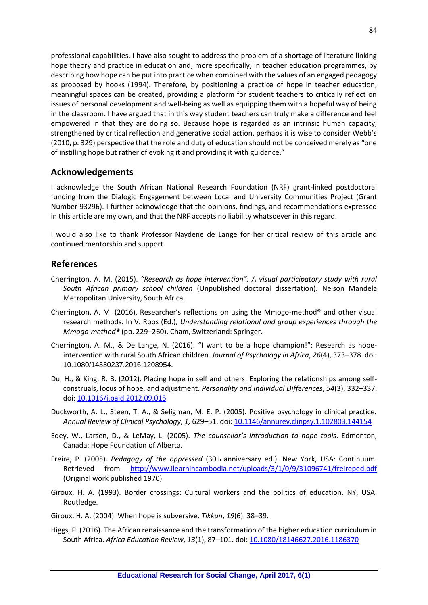professional capabilities. I have also sought to address the problem of a shortage of literature linking hope theory and practice in education and, more specifically, in teacher education programmes, by describing how hope can be put into practice when combined with the values of an engaged pedagogy as proposed by hooks (1994). Therefore, by positioning a practice of hope in teacher education, meaningful spaces can be created, providing a platform for student teachers to critically reflect on issues of personal development and well-being as well as equipping them with a hopeful way of being in the classroom. I have argued that in this way student teachers can truly make a difference and feel empowered in that they are doing so. Because hope is regarded as an intrinsic human capacity, strengthened by critical reflection and generative social action, perhaps it is wise to consider Webb's (2010, p. 329) perspective that the role and duty of education should not be conceived merely as "one of instilling hope but rather of evoking it and providing it with guidance."

## **Acknowledgements**

I acknowledge the South African National Research Foundation (NRF) grant-linked postdoctoral funding from the Dialogic Engagement between Local and University Communities Project (Grant Number 93296). I further acknowledge that the opinions, findings, and recommendations expressed in this article are my own, and that the NRF accepts no liability whatsoever in this regard.

I would also like to thank Professor Naydene de Lange for her critical review of this article and continued mentorship and support.

### **References**

- Cherrington, A. M. (2015). *"Research as hope intervention": A visual participatory study with rural South African primary school children* (Unpublished doctoral dissertation). Nelson Mandela Metropolitan University, South Africa.
- Cherrington, A. M. (2016). Researcher's reflections on using the Mmogo-method® and other visual research methods. In V. Roos (Ed.), *Understanding relational and group experiences through the Mmogo-method®* (pp. 229–260). Cham, Switzerland: Springer.
- Cherrington, A. M., & De Lange, N. (2016). "I want to be a hope champion!": Research as hopeintervention with rural South African children. *Journal of Psychology in Africa*, *26*(4), 373–378. doi: 10.1080/14330237.2016.1208954.
- Du, H., & King, R. B. (2012). Placing hope in self and others: Exploring the relationships among selfconstruals, locus of hope, and adjustment. *Personality and Individual Differences*, *54*(3), 332–337. doi[: 10.1016/j.paid.2012.09.015](http://doi:10.1016/j.paid.2012.09.015)
- Duckworth, A. L., Steen, T. A., & Seligman, M. E. P. (2005). Positive psychology in clinical practice. *Annual Review of Clinical Psychology*, *1,* 629–51. doi[: 10.1146/annurev.clinpsy.1.102803.144154](http://doi:10.1146/annurev.clinpsy.1.102803.144154)
- Edey, W., Larsen, D., & LeMay, L. (2005). *The counsellor's introduction to hope tools*. Edmonton, Canada: Hope Foundation of Alberta.
- Freire, P. (2005). *Pedagogy of the oppressed* (30th anniversary ed.). New York, USA: Continuum. Retrieved from <http://www.ilearnincambodia.net/uploads/3/1/0/9/31096741/freireped.pdf> (Original work published 1970)
- Giroux, H. A. (1993). Border crossings: Cultural workers and the politics of education. NY, USA: Routledge.
- Giroux, H. A. (2004). When hope is subversive. *Tikkun*, *19*(6), 38*–*39.
- Higgs, P. (2016). The African renaissance and the transformation of the higher education curriculum in South Africa. *Africa Education Review*, *13*(1), 87–101. doi: [10.1080/18146627.2016.1186370](http://doi.org/10.1080/18146627.2016.1186370)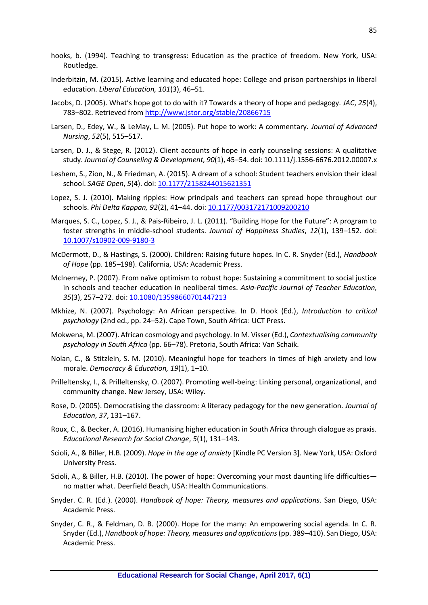- hooks, b. (1994). Teaching to transgress: Education as the practice of freedom. New York, USA: Routledge.
- Inderbitzin, M. (2015). Active learning and educated hope: College and prison partnerships in liberal education. *Liberal Education, 101*(3), 46–51.
- Jacobs, D. (2005). What's hope got to do with it? Towards a theory of hope and pedagogy. *JAC*, *25*(4), 783*–*802. Retrieved from<http://www.jstor.org/stable/20866715>
- Larsen, D., Edey, W., & LeMay, L. M. (2005). Put hope to work: A commentary. *Journal of Advanced Nursing*, *52*(5), 515–517.
- Larsen, D. J., & Stege, R. (2012). Client accounts of hope in early counseling sessions: A qualitative study. *Journal of Counseling & Development, 90*(1), 45–54. doi: 10.1111/j.1556-6676.2012.00007.x
- Leshem, S., Zion, N., & Friedman, A. (2015). A dream of a school: Student teachers envision their ideal school. *SAGE Open*, *5*(4). doi: [10.1177/2158244015621351](http://doi.org/10.1177/2158244015621351)
- Lopez, S. J. (2010). Making ripples: How principals and teachers can spread hope throughout our schools. *Phi Delta Kappan, 92*(2), 41–44. doi[: 10.1177/003172171009200210](http://dx.doi.org/10.1177%2F003172171009200210)
- Marques, S. C., Lopez, S. J., & Pais-Ribeiro, J. L. (2011). "Building Hope for the Future": A program to foster strengths in middle-school students. *Journal of Happiness Studies*, *12*(1), 139–152. doi: [10.1007/s10902-009-9180-3](http://doi:10.1007/s10902-009-9180-3)
- McDermott, D., & Hastings, S. (2000). Children: Raising future hopes. In C. R. Snyder (Ed.), *Handbook of Hope* (pp. 185*–*198). California, USA: Academic Press.
- McInerney, P. (2007). From naïve optimism to robust hope: Sustaining a commitment to social justice in schools and teacher education in neoliberal times. *Asia-Pacific Journal of Teacher Education, 35*(3), 257*–*272. doi: [10.1080/13598660701447213](http://doi:10.1080/13598660701447213)
- Mkhize, N. (2007). Psychology: An African perspective. In D. Hook (Ed.), *Introduction to critical psychology* (2nd ed., pp. 24*–*52). Cape Town, South Africa: UCT Press.
- Mokwena, M. (2007). African cosmology and psychology. In M. Visser (Ed.), *Contextualising community psychology in South Africa* (pp. 66–78). Pretoria, South Africa: Van Schaik.
- Nolan, C., & Stitzlein, S. M. (2010). Meaningful hope for teachers in times of high anxiety and low morale. *Democracy & Education, 19*(1), 1*–*10.
- Prilleltensky, I., & Prilleltensky, O. (2007). Promoting well-being: Linking personal, organizational, and community change. New Jersey, USA: Wiley.
- Rose, D. (2005). Democratising the classroom: A literacy pedagogy for the new generation. *Journal of Education*, *37*, 131–167.
- Roux, C., & Becker, A. (2016). Humanising higher education in South Africa through dialogue as praxis. *Educational Research for Social Change*, *5*(1), 131–143.
- Scioli, A., & Biller, H.B. (2009). *Hope in the age of anxiety* [Kindle PC Version 3]. New York, USA: Oxford University Press.
- Scioli, A., & Biller, H.B. (2010). The power of hope: Overcoming your most daunting life difficulties no matter what. Deerfield Beach, USA: Health Communications.
- Snyder. C. R. (Ed.). (2000). *Handbook of hope: Theory, measures and applications*. San Diego, USA: Academic Press.
- Snyder, C. R., & Feldman, D. B. (2000). Hope for the many: An empowering social agenda. In C. R. Snyder (Ed.), *Handbook of hope: Theory, measures and applications* (pp. 389*–*410). San Diego, USA: Academic Press.